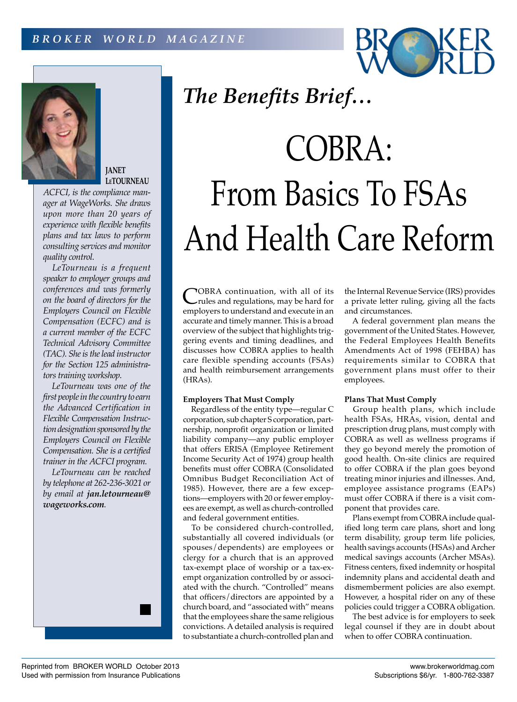



**JANET LeTOURNEAU**

*ACFCI, is the compliance manager at WageWorks. She draws upon more than 20 years of experience with flexible benefits plans and tax laws to perform consulting services and monitor quality control.*

*LeTourneau is a frequent speaker to employer groups and conferences and was formerly on the board of directors for the Employers Council on Flexible Compensation (ECFC) and is a current member of the ECFC Technical Advisory Committee (TAC). She is the lead instructor for the Section 125 administrators training workshop.*

*LeTourneau was one of the first people in the country to earn the Advanced Certification in Flexible Compensation Instruction designation sponsored by the Employers Council on Flexible Compensation. She is a certified trainer in the ACFCI program.*

*LeTourneau can be reached by telephone at 262-236-3021 or by email at jan.letourneau@ wageworks.com.*

# COBRA: From Basics To FSAs And Health Care Reform

COBRA continuation, with all of its<br>
rules and regulations, may be hard for<br>
rules and regulation of the state of the state employers to understand and execute in an accurate and timely manner. This is a broad overview of the subject that highlights triggering events and timing deadlines, and discusses how COBRA applies to health care flexible spending accounts (FSAs) and health reimbursement arrangements (HRAs).

*The Benefits Brief…*

# **Employers That Must Comply**

Regardless of the entity type—regular C corporation, sub chapter S corporation, partnership, nonprofit organization or limited liability company—any public employer that offers ERISA (Employee Retirement Income Security Act of 1974) group health benefits must offer COBRA (Consolidated Omnibus Budget Reconciliation Act of 1985). However, there are a few exceptions—employers with 20 or fewer employees are exempt, as well as church-controlled and federal government entities.

To be considered church-controlled, substantially all covered individuals (or spouses/dependents) are employees or clergy for a church that is an approved tax-exempt place of worship or a tax-exempt organization controlled by or associated with the church. "Controlled" means that officers/directors are appointed by a church board, and "associated with" means that the employees share the same religious convictions. A detailed analysis is required to substantiate a church-controlled plan and

the Internal Revenue Service (IRS) provides a private letter ruling, giving all the facts and circumstances.

A federal government plan means the government of the United States. However, the Federal Employees Health Benefits Amendments Act of 1998 (FEHBA) has requirements similar to COBRA that government plans must offer to their employees.

# **Plans That Must Comply**

Group health plans, which include health FSAs, HRAs, vision, dental and prescription drug plans, must comply with COBRA as well as wellness programs if they go beyond merely the promotion of good health. On-site clinics are required to offer COBRA if the plan goes beyond treating minor injuries and illnesses. And, employee assistance programs (EAPs) must offer COBRA if there is a visit component that provides care.

Plans exempt from COBRA include qualified long term care plans, short and long term disability, group term life policies, health savings accounts (HSAs) and Archer medical savings accounts (Archer MSAs). Fitness centers, fixed indemnity or hospital indemnity plans and accidental death and dismemberment policies are also exempt. However, a hospital rider on any of these policies could trigger a COBRA obligation.

The best advice is for employers to seek legal counsel if they are in doubt about when to offer COBRA continuation.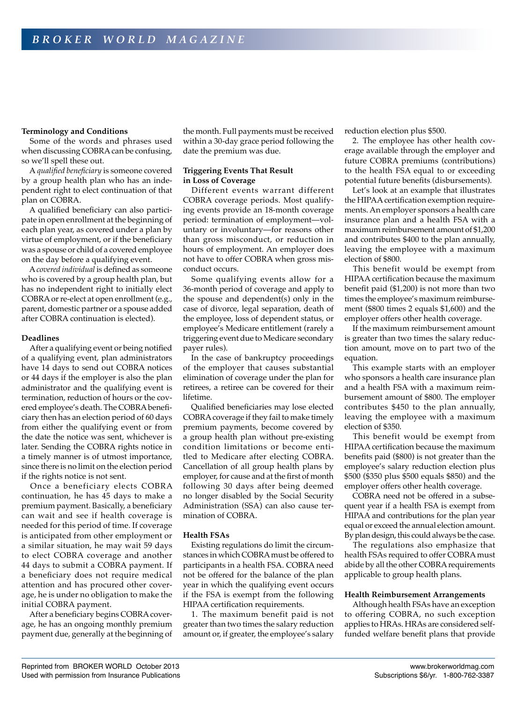#### **Terminology and Conditions**

Some of the words and phrases used when discussing COBRA can be confusing, so we'll spell these out.

A *qualified beneficiary* is someone covered by a group health plan who has an independent right to elect continuation of that plan on COBRA.

A qualified beneficiary can also participate in open enrollment at the beginning of each plan year, as covered under a plan by virtue of employment, or if the beneficiary was a spouse or child of a covered employee on the day before a qualifying event.

A *covered individual* is defined as someone who is covered by a group health plan, but has no independent right to initially elect COBRA or re-elect at open enrollment (e.g., parent, domestic partner or a spouse added after COBRA continuation is elected).

## **Deadlines**

After a qualifying event or being notified of a qualifying event, plan administrators have 14 days to send out COBRA notices or 44 days if the employer is also the plan administrator and the qualifying event is termination, reduction of hours or the covered employee's death. The COBRA beneficiary then has an election period of 60 days from either the qualifying event or from the date the notice was sent, whichever is later. Sending the COBRA rights notice in a timely manner is of utmost importance, since there is no limit on the election period if the rights notice is not sent.

Once a beneficiary elects COBRA continuation, he has 45 days to make a premium payment. Basically, a beneficiary can wait and see if health coverage is needed for this period of time. If coverage is anticipated from other employment or a similar situation, he may wait 59 days to elect COBRA coverage and another 44 days to submit a COBRA payment. If a beneficiary does not require medical attention and has procured other coverage, he is under no obligation to make the initial COBRA payment.

After a beneficiary begins COBRA coverage, he has an ongoing monthly premium payment due, generally at the beginning of

the month. Full payments must be received within a 30-day grace period following the date the premium was due.

## **Triggering Events That Result in Loss of Coverage**

Different events warrant different COBRA coverage periods. Most qualifying events provide an 18-month coverage period: termination of employment—voluntary or involuntary—for reasons other than gross misconduct, or reduction in hours of employment. An employer does not have to offer COBRA when gross misconduct occurs.

Some qualifying events allow for a 36-month period of coverage and apply to the spouse and dependent(s) only in the case of divorce, legal separation, death of the employee, loss of dependent status, or employee's Medicare entitlement (rarely a triggering event due to Medicare secondary payer rules).

In the case of bankruptcy proceedings of the employer that causes substantial elimination of coverage under the plan for retirees, a retiree can be covered for their lifetime.

Qualified beneficiaries may lose elected COBRA coverage if they fail to make timely premium payments, become covered by a group health plan without pre-existing condition limitations or become entitled to Medicare after electing COBRA. Cancellation of all group health plans by employer, for cause and at the first of month following 30 days after being deemed no longer disabled by the Social Security Administration (SSA) can also cause termination of COBRA.

#### **Health FSAs**

Existing regulations do limit the circumstances in which COBRA must be offered to participants in a health FSA. COBRA need not be offered for the balance of the plan year in which the qualifying event occurs if the FSA is exempt from the following HIPAA certification requirements.

1. The maximum benefit paid is not greater than two times the salary reduction amount or, if greater, the employee's salary reduction election plus \$500.

2. The employee has other health coverage available through the employer and future COBRA premiums (contributions) to the health FSA equal to or exceeding potential future benefits (disbursements).

Let's look at an example that illustrates the HIPAA certification exemption requirements. An employer sponsors a health care insurance plan and a health FSA with a maximum reimbursement amount of \$1,200 and contributes \$400 to the plan annually, leaving the employee with a maximum election of \$800.

This benefit would be exempt from HIPAA certification because the maximum benefit paid (\$1,200) is not more than two times the employee's maximum reimbursement (\$800 times 2 equals \$1,600) and the employer offers other health coverage.

If the maximum reimbursement amount is greater than two times the salary reduction amount, move on to part two of the equation.

This example starts with an employer who sponsors a health care insurance plan and a health FSA with a maximum reimbursement amount of \$800. The employer contributes \$450 to the plan annually, leaving the employee with a maximum election of \$350.

This benefit would be exempt from HIPAA certification because the maximum benefits paid (\$800) is not greater than the employee's salary reduction election plus \$500 (\$350 plus \$500 equals \$850) and the employer offers other health coverage.

COBRA need not be offered in a subsequent year if a health FSA is exempt from HIPAA and contributions for the plan year equal or exceed the annual election amount. By plan design, this could always be the case.

The regulations also emphasize that health FSAs required to offer COBRA must abide by all the other COBRA requirements applicable to group health plans.

#### **Health Reimbursement Arrangements**

Although health FSAs have an exception to offering COBRA, no such exception applies to HRAs. HRAs are considered selffunded welfare benefit plans that provide